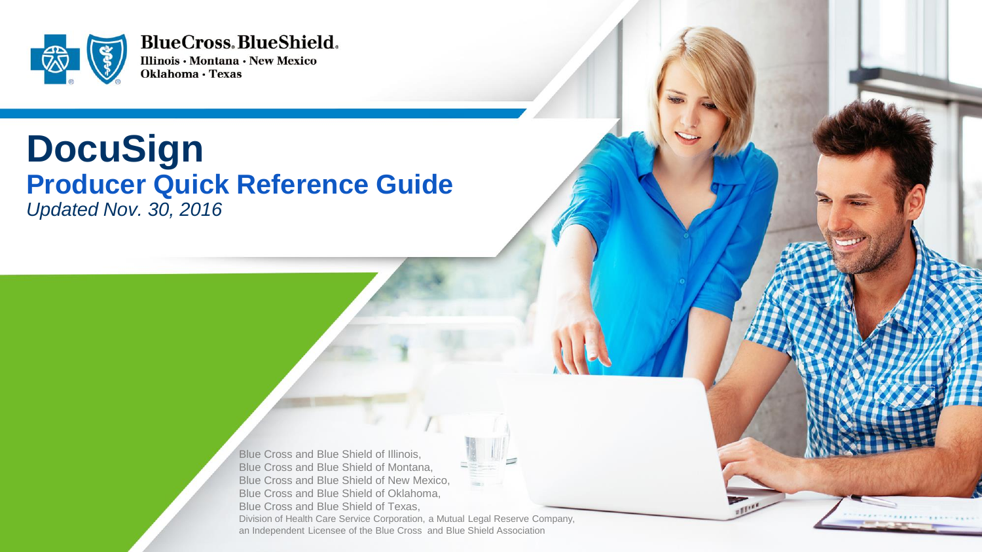

**BlueCross.BlueShield.** Illinois · Montana · New Mexico Oklahoma · Texas

# **DocuSign Producer Quick Reference Guide** *Updated Nov. 30, 2016*

Blue Cross and Blue Shield of Illinois, Blue Cross and Blue Shield of Montana, Blue Cross and Blue Shield of New Mexico, Blue Cross and Blue Shield of Oklahoma, Blue Cross and Blue Shield of Texas, Division of Health Care Service Corporation, a Mutual Legal Reserve Company, an Independent Licensee of the Blue Cross and Blue Shield Association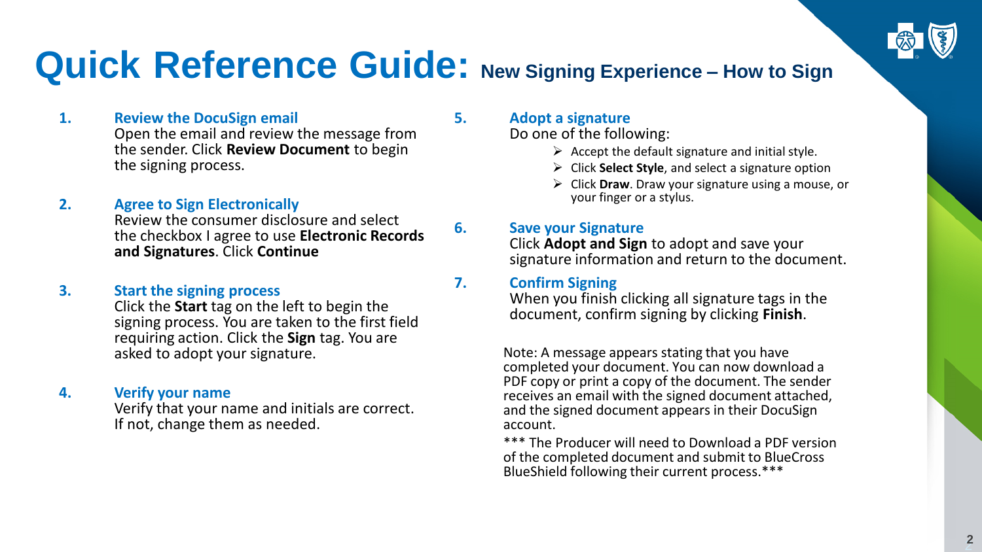

# **Quick Reference Guide: New Signing Experience – How to Sign**

### **1. Review the DocuSign email**

Open the email and review the message from the sender. Click **Review Document** to begin the signing process.

**2. Agree to Sign Electronically**

Review the consumer disclosure and select the checkbox I agree to use **Electronic Records and Signatures**. Click **Continue**

#### **3. Start the signing process**

Click the **Start** tag on the left to begin the signing process. You are taken to the first field requiring action. Click the **Sign** tag. You are asked to adopt your signature.

#### **4. Verify your name**

Verify that your name and initials are correct. If not, change them as needed.

### **5. Adopt a signature**

Do one of the following:

- $\triangleright$  Accept the default signature and initial style.
- Click **Select Style**, and select a signature option
- Click **Draw**. Draw your signature using a mouse, or your finger or a stylus.

### **6. Save your Signature**

Click **Adopt and Sign** to adopt and save your signature information and return to the document.

### **7. Confirm Signing**

When you finish clicking all signature tags in the document, confirm signing by clicking **Finish**.

Note: A message appears stating that you have completed your document. You can now download a PDF copy or print a copy of the document. The sender receives an email with the signed document attached, and the signed document appears in their DocuSign account.

\*\*\* The Producer will need to Download a PDF version of the completed document and submit to BlueCross BlueShield following their current process.\*\*\*